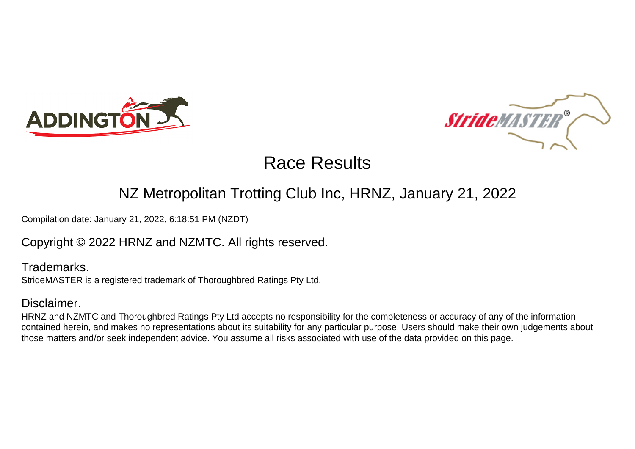



### NZ Metropolitan Trotting Club Inc, HRNZ, January 21, 2022

Compilation date: January 21, 2022, 6:18:51 PM (NZDT)

### Copyright © 2022 HRNZ and NZMTC. All rights reserved.

Trademarks. StrideMASTER is a registered trademark of Thoroughbred Ratings Pty Ltd.

#### Disclaimer.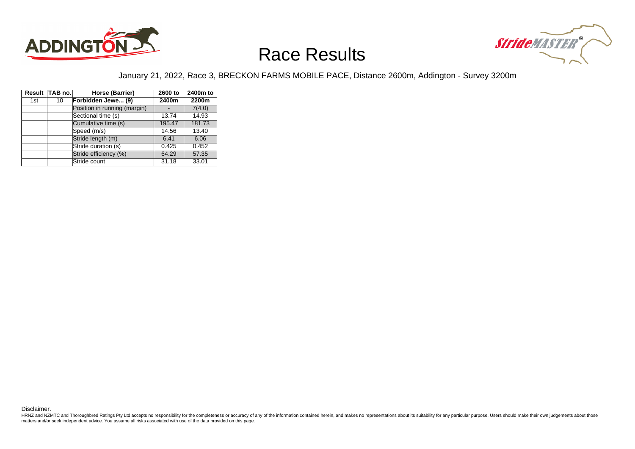



#### January 21, 2022, Race 3, BRECKON FARMS MOBILE PACE, Distance 2600m, Addington - Survey 3200m

|     | Result TAB no. | Horse (Barrier)              | 2600 to | 2400m to |
|-----|----------------|------------------------------|---------|----------|
| 1st | 10             | Forbidden Jewe (9)           | 2400m   | 2200m    |
|     |                | Position in running (margin) |         | 7(4.0)   |
|     |                | Sectional time (s)           | 13.74   | 14.93    |
|     |                | Cumulative time (s)          | 195.47  | 181.73   |
|     |                | Speed (m/s)                  | 14.56   | 13.40    |
|     |                | Stride length (m)            | 6.41    | 6.06     |
|     |                | Stride duration (s)          | 0.425   | 0.452    |
|     |                | Stride efficiency (%)        | 64.29   | 57.35    |
|     |                | Stride count                 | 31.18   | 33.01    |

Disclaimer.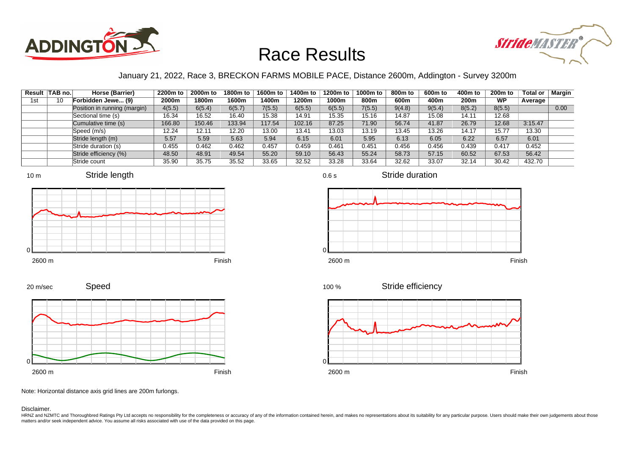



#### January 21, 2022, Race 3, BRECKON FARMS MOBILE PACE, Distance 2600m, Addington - Survey 3200m

|     | Result TAB no. | Horse (Barrier)              | 2200m to | 2000m to | 1800m to | 1600m to | 1400m to | 1200m to | 1000m to | 800m to | 600m to | 400m to          | $200m$ to | Total or | Margin |
|-----|----------------|------------------------------|----------|----------|----------|----------|----------|----------|----------|---------|---------|------------------|-----------|----------|--------|
| 1st | 10             | Forbidden Jewe (9)           | 2000m    | 1800m    | 1600m    | l 400m   | 1200m    | 1000m    | 800m     | 600m    | 400m    | 200 <sub>m</sub> | <b>WP</b> | Average  |        |
|     |                | Position in running (margin) | 4(5.5)   | 6(5.4)   | 6(5.7)   | 7(5.5)   | 6(5.5)   | 6(5.5)   | 7(5.5)   | 9(4.8)  | 9(5.4)  | 8(5.2)           | 8(5.5)    |          | 0.00   |
|     |                | Sectional time (s)           | 16.34    | 16.52    | 16.40    | 15.38    | 14.91    | 15.35    | 15.16    | 14.87   | 15.08   | 14.11            | 12.68     |          |        |
|     |                | Cumulative time (s)          | 166.80   | 150.46   | 133.94   | 117.54   | 102.16   | 87.25    | 71.90    | 56.74   | 41.87   | 26.79            | 12.68     | 3:15.47  |        |
|     |                | Speed (m/s)                  | 12.24    | 12.11    | 12.20    | 13.00    | 13.41    | 13.03    | 13.19    | 13.45   | 13.26   | 14.17            | 15.77     | 13.30    |        |
|     |                | Stride length (m)            | 5.57     | 5.59     | 5.63     | 5.94     | 6.15     | 6.01     | 5.95     | 6.13    | 6.05    | 6.22             | 6.57      | 6.01     |        |
|     |                | Stride duration (s)          | 0.455    | 0.462    | 0.462    | 0.457    | 0.459    | 0.461    | 0.451    | 0.456   | 0.456   | 0.439            | 0.417     | 0.452    |        |
|     |                | Stride efficiency (%)        | 48.50    | 48.91    | 49.54    | 55.20    | 59.10    | 56.43    | 55.24    | 58.73   | 57.15   | 60.52            | 67.53     | 56.42    |        |
|     |                | Stride count                 | 35.90    | 35.75    | 35.52    | 33.65    | 32.52    | 33.28    | 33.64    | 32.62   | 33.07   | 32.14            | 30.42     | 432.70   |        |





2600 m Finish









0.6 s

Stride efficiency



Note: Horizontal distance axis grid lines are 200m furlongs.

Speed

Disclaimer.

0

20 m/sec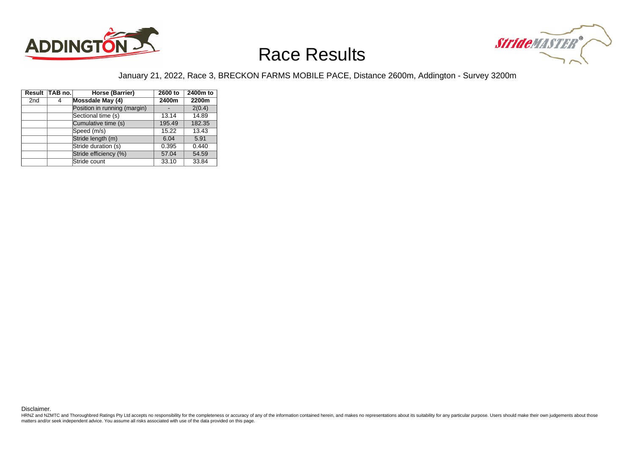



#### January 21, 2022, Race 3, BRECKON FARMS MOBILE PACE, Distance 2600m, Addington - Survey 3200m

|                 | Result TAB no. | Horse (Barrier)              | 2600 to | 2400m to |
|-----------------|----------------|------------------------------|---------|----------|
| 2 <sub>nd</sub> | 4              | Mossdale May (4)             | 2400m   | 2200m    |
|                 |                | Position in running (margin) |         | 2(0.4)   |
|                 |                | Sectional time (s)           | 13.14   | 14.89    |
|                 |                | Cumulative time (s)          | 195.49  | 182.35   |
|                 |                | Speed (m/s)                  | 15.22   | 13.43    |
|                 |                | Stride length (m)            | 6.04    | 5.91     |
|                 |                | Stride duration (s)          | 0.395   | 0.440    |
|                 |                | Stride efficiency (%)        | 57.04   | 54.59    |
|                 |                | Stride count                 | 33.10   | 33.84    |

Disclaimer.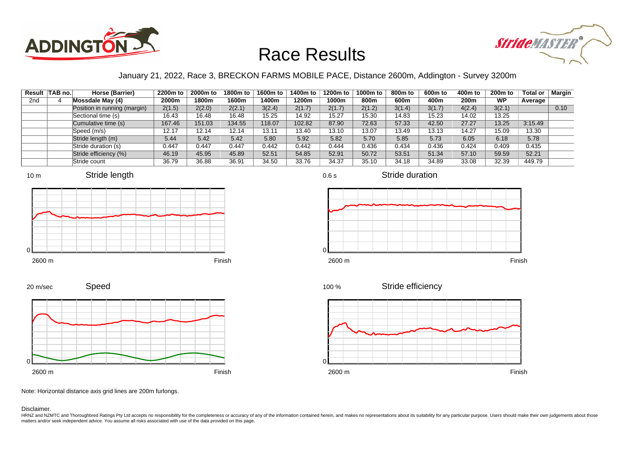



#### January 21, 2022, Race 3, BRECKON FARMS MOBILE PACE, Distance 2600m, Addington - Survey 3200m

|     | Result TAB no. | Horse (Barrier)              | 2200m to | 2000m to | 1800m to | 1600m to | 1400m to | 1200m to | 1000m to | 800m to | 600m to | 400m to          | $200m$ to | Total or | Margin |
|-----|----------------|------------------------------|----------|----------|----------|----------|----------|----------|----------|---------|---------|------------------|-----------|----------|--------|
| 2nd |                | Mossdale May (4)             | 2000m    | 1800m    | 1600m    | 1400m    | 1200m    | 1000m    | 800m     | 600m    | 400m    | 200 <sub>m</sub> | <b>WP</b> | Average  |        |
|     |                | Position in running (margin) | 2(1.5)   | 2(2.0)   | 2(2.1)   | 3(2.4)   | 2(1.7)   | 2(1.7)   | 2(1.2)   | 3(1.4)  | 3(1.7)  | 4(2.4)           | 3(2.1)    |          | 0.10   |
|     |                | Sectional time (s)           | 16.43    | 16.48    | 16.48    | 15.25    | 14.92    | 15.27    | 15.30    | 14.83   | 15.23   | 14.02            | 13.25     |          |        |
|     |                | Cumulative time (s)          | 167.46   | 151.03   | 134.55   | 118.07   | 102.82   | 87.90    | 72.63    | 57.33   | 42.50   | 27.27            | 13.25     | 3:15.49  |        |
|     |                | Speed (m/s)                  | 12.17    | 12.14    | 12.14    | 13.11    | 13.40    | 13.10    | 13.07    | 13.49   | 13.13   | 14.27            | 15.09     | 13.30    |        |
|     |                | Stride length (m)            | 5.44     | 5.42     | 5.42     | 5.80     | 5.92     | 5.82     | 5.70     | 5.85    | 5.73    | 6.05             | 6.18      | 5.78     |        |
|     |                | Stride duration (s)          | 0.447    | 0.447    | 0.447    | 0.442    | 0.442    | 0.444    | 0.436    | 0.434   | 0.436   | 0.424            | 0.409     | 0.435    |        |
|     |                | Stride efficiency (%)        | 46.19    | 45.95    | 45.89    | 52.51    | 54.85    | 52.91    | 50.72    | 53.51   | 51.34   | 57.10            | 59.59     | 52.21    |        |
|     |                | Stride count                 | 36.79    | 36.88    | 36.91    | 34.50    | 33.76    | 34.37    | 35.10    | 34.18   | 34.89   | 33.08            | 32.39     | 449.79   |        |











Stride duration







Note: Horizontal distance axis grid lines are 200m furlongs.

Disclaimer.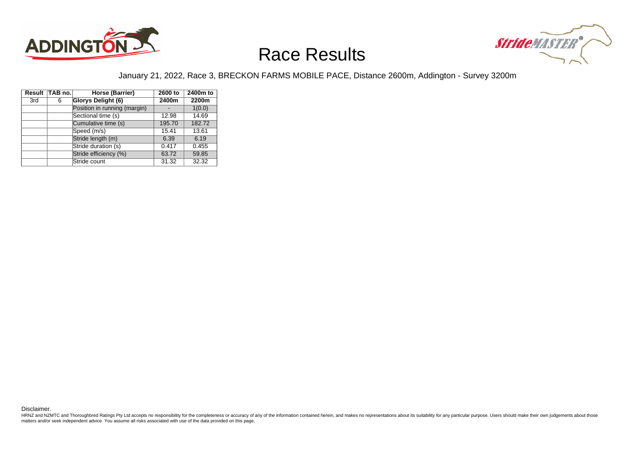



#### January 21, 2022, Race 3, BRECKON FARMS MOBILE PACE, Distance 2600m, Addington - Survey 3200m

|     | Result TAB no. | Horse (Barrier)              | 2600 to | 2400m to |
|-----|----------------|------------------------------|---------|----------|
| 3rd | 6              | Glorys Delight (6)           | 2400m   | 2200m    |
|     |                | Position in running (margin) |         | 1(0.0)   |
|     |                | Sectional time (s)           | 12.98   | 14.69    |
|     |                | Cumulative time (s)          | 195.70  | 182.72   |
|     |                | Speed (m/s)                  | 15.41   | 13.61    |
|     |                | Stride length (m)            | 6.39    | 6.19     |
|     |                | Stride duration (s)          | 0.417   | 0.455    |
|     |                | Stride efficiency (%)        | 63.72   | 59.85    |
|     |                | Stride count                 | 31.32   | 32.32    |

Disclaimer.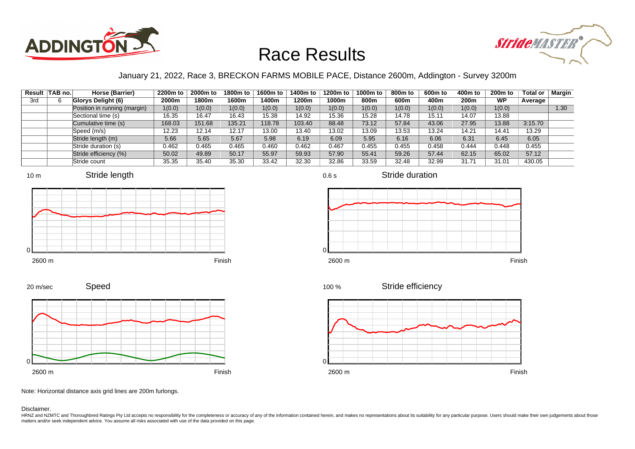



#### January 21, 2022, Race 3, BRECKON FARMS MOBILE PACE, Distance 2600m, Addington - Survey 3200m

|     | Result TAB no. | Horse (Barrier)              | 2200m to | 2000m to | 1800m to | 1600m to | 1400m to | 1200m to | 1000m to | 800m to | 600m to | 400m to          | $200m$ to | Total or | Margin |
|-----|----------------|------------------------------|----------|----------|----------|----------|----------|----------|----------|---------|---------|------------------|-----------|----------|--------|
| 3rd |                | <b>Glorys Delight (6)</b>    | 2000m    | 1800m    | 1600m    | 1400m    | 1200m    | 1000m    | 800m     | 600m    | 400m    | 200 <sub>m</sub> | <b>WP</b> | Average  |        |
|     |                | Position in running (margin) | 1(0.0)   | 1(0.0)   | 1(0.0)   | 1(0.0)   | 1(0.0)   | 1(0.0)   | 1(0.0)   | 1(0.0)  | 1(0.0)  | 1(0.0)           | 1(0.0)    |          | 1.30   |
|     |                | Sectional time (s)           | 16.35    | 16.47    | 16.43    | 15.38    | 14.92    | 15.36    | 15.28    | 14.78   | 15.11   | 14.07            | 13.88     |          |        |
|     |                | Cumulative time (s)          | 168.03   | 151.68   | 135.21   | 118.78   | 103.40   | 88.48    | 73.12    | 57.84   | 43.06   | 27.95            | 13.88     | 3:15.70  |        |
|     |                | Speed (m/s)                  | 12.23    | 12.14    | 12.17    | 13.00    | 13.40    | 13.02    | 13.09    | 13.53   | 13.24   | 14.21            | 14.41     | 13.29    |        |
|     |                | Stride length (m)            | 5.66     | 5.65     | 5.67     | 5.98     | 6.19     | 6.09     | 5.95     | 6.16    | 6.06    | 6.31             | 6.45      | 6.05     |        |
|     |                | Stride duration (s)          | 0.462    | 0.465    | 0.465    | 0.460    | 0.462    | 0.467    | 0.455    | 0.455   | 0.458   | 0.444            | 0.448     | 0.455    |        |
|     |                | Stride efficiency (%)        | 50.02    | 49.89    | 50.17    | 55.97    | 59.93    | 57.90    | 55.41    | 59.26   | 57.44   | 62.15            | 65.02     | 57.12    |        |
|     |                | Stride count                 | 35.35    | 35.40    | 35.30    | 33.42    | 32.30    | 32.86    | 33.59    | 32.48   | 32.99   | 31.71            | 31.01     | 430.05   |        |









0.6 s

Stride duration



Stride efficiency 100 %



Note: Horizontal distance axis grid lines are 200m furlongs.

Disclaimer.

20 m/sec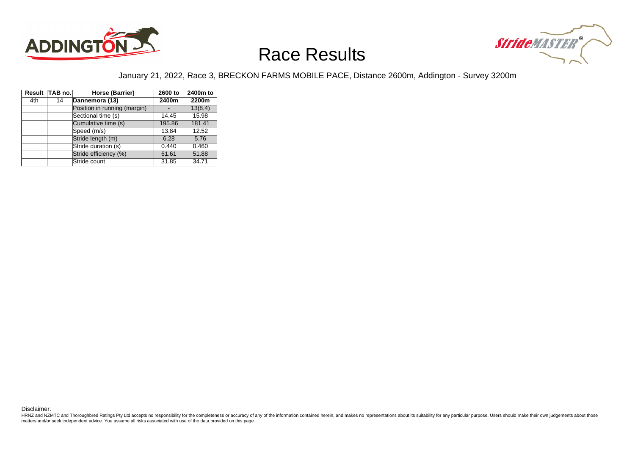



#### January 21, 2022, Race 3, BRECKON FARMS MOBILE PACE, Distance 2600m, Addington - Survey 3200m

|     | Result TAB no. | Horse (Barrier)              | 2600 to | 2400m to |
|-----|----------------|------------------------------|---------|----------|
| 4th | 14             | Dannemora (13)               | 2400m   | 2200m    |
|     |                | Position in running (margin) |         | 13(8.4)  |
|     |                | Sectional time (s)           | 14.45   | 15.98    |
|     |                | Cumulative time (s)          | 195.86  | 181.41   |
|     |                | Speed (m/s)                  | 13.84   | 12.52    |
|     |                | Stride length (m)            | 6.28    | 5.76     |
|     |                | Stride duration (s)          | 0.440   | 0.460    |
|     |                | Stride efficiency (%)        | 61.61   | 51.88    |
|     |                | Stride count                 | 31.85   | 34.71    |

Disclaimer.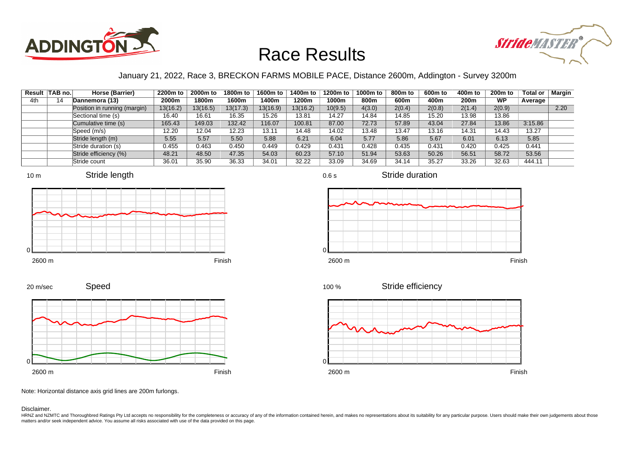



#### January 21, 2022, Race 3, BRECKON FARMS MOBILE PACE, Distance 2600m, Addington - Survey 3200m

| Result | ∣TAB no.∣ | Horse (Barrier)              | 2200m to | 2000m to | 1800m to | 1600m to | 1400m to | 1200m to | 1000m to | 800m to | 600m to | 400m to | $200m$ to | <b>Total or</b> | Margin |
|--------|-----------|------------------------------|----------|----------|----------|----------|----------|----------|----------|---------|---------|---------|-----------|-----------------|--------|
| 4th    | 14        | Dannemora (13)               | 2000m    | 1800m    | 1600m    | l 400m   | 1200m    | 1000m    | 800m     | 600m    | 400m    | 200m    | <b>WP</b> | Average         |        |
|        |           | Position in running (margin) | 13(16.2) | 13(16.5) | 13(17.3) | 13(16.9) | 13(16.2) | 10(9.5)  | 4(3.0)   | 2(0.4)  | 2(0.8)  | 2(1.4)  | 2(0.9)    |                 | 2.20   |
|        |           | Sectional time (s)           | 16.40    | 16.61    | 16.35    | 15.26    | 13.81    | 14.27    | 14.84    | 14.85   | 15.20   | 13.98   | 13.86     |                 |        |
|        |           | Cumulative time (s)          | 165.43   | 149.03   | 132.42   | 116.07   | 100.81   | 87.00    | 72.73    | 57.89   | 43.04   | 27.84   | 13.86     | 3:15.86         |        |
|        |           | Speed (m/s)                  | 12.20    | 12.04    | 12.23    | 13.11    | 14.48    | 14.02    | 13.48    | 13.47   | 13.16   | 14.31   | 14.43     | 13.27           |        |
|        |           | Stride length (m)            | 5.55     | 5.57     | 5.50     | 5.88     | 6.21     | 6.04     | 5.77     | 5.86    | 5.67    | 6.01    | 6.13      | 5.85            |        |
|        |           | Stride duration (s)          | 0.455    | 0.463    | 0.450    | 0.449    | 0.429    | 0.431    | 0.428    | 0.435   | 0.431   | 0.420   | 0.425     | 0.441           |        |
|        |           | Stride efficiency (%)        | 48.21    | 48.50    | 47.35    | 54.03    | 60.23    | 57.10    | 51.94    | 53.63   | 50.26   | 56.51   | 58.72     | 53.56           |        |
|        |           | Stride count                 | 36.01    | 35.90    | 36.33    | 34.01    | 32.22    | 33.09    | 34.69    | 34.14   | 35.27   | 33.26   | 32.63     | 444.11          |        |













Speed 20 m/sec



Note: Horizontal distance axis grid lines are 200m furlongs.

Disclaimer.

HRNZ and NZMTC and Thoroughbred Ratings Pty Ltd accepts no responsibility for the completeness or accuracy of any of the information contained herein, and makes no representations about its suitability for any particular p matters and/or seek independent advice. You assume all risks associated with use of the data provided on this page.

0.6 s

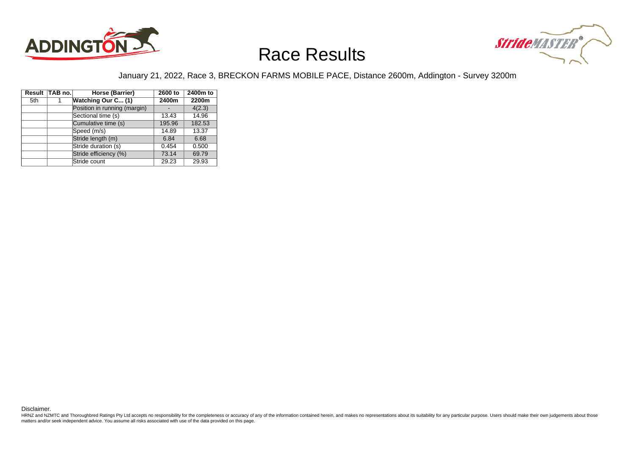



#### January 21, 2022, Race 3, BRECKON FARMS MOBILE PACE, Distance 2600m, Addington - Survey 3200m

|     | Result TAB no. | Horse (Barrier)              | 2600 to | 2400m to |
|-----|----------------|------------------------------|---------|----------|
| 5th |                | Watching Our C (1)           | 2400m   | 2200m    |
|     |                | Position in running (margin) |         | 4(2.3)   |
|     |                | Sectional time (s)           | 13.43   | 14.96    |
|     |                | Cumulative time (s)          | 195.96  | 182.53   |
|     |                | Speed (m/s)                  | 14.89   | 13.37    |
|     |                | Stride length (m)            | 6.84    | 6.68     |
|     |                | Stride duration (s)          | 0.454   | 0.500    |
|     |                | Stride efficiency (%)        | 73.14   | 69.79    |
|     |                | Stride count                 | 29.23   | 29.93    |

Disclaimer.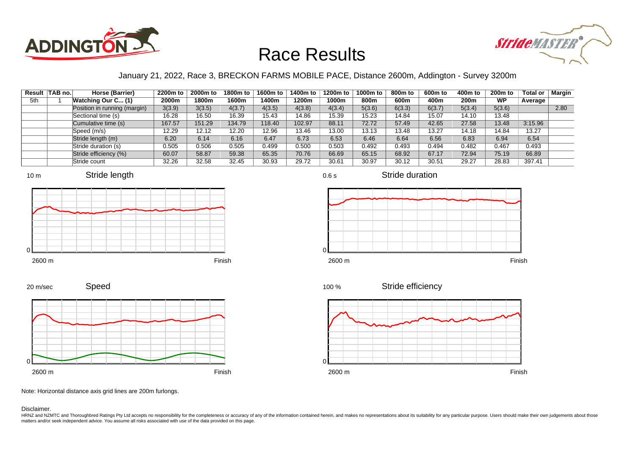



#### January 21, 2022, Race 3, BRECKON FARMS MOBILE PACE, Distance 2600m, Addington - Survey 3200m

|     | Result   TAB no. | Horse (Barrier)              | 2200m to | 2000m to | 1800m to | 1600m to | 1400m to | 1200m to | 1000m to | 800m to | 600m to | 400m to | <b>200m to</b> | <b>Total or</b> | Margin |
|-----|------------------|------------------------------|----------|----------|----------|----------|----------|----------|----------|---------|---------|---------|----------------|-----------------|--------|
| 5th |                  | <b>Watching Our C (1)</b>    | 2000m    | 1800m    | 1600m    | l 400m   | 1200m    | 1000m    | 800m     | 600m    | 400m    | 200m    | <b>WP</b>      | Average         |        |
|     |                  | Position in running (margin) | 3(3.9)   | 3(3.5)   | 4(3.7)   | 4(3.5)   | 4(3.8)   | 4(3.4)   | 5(3.6)   | 6(3.3)  | 6(3.7)  | 5(3.4)  | 5(3.6)         |                 | 2.80   |
|     |                  | Sectional time (s)           | 16.28    | 16.50    | 16.39    | 15.43    | 14.86    | 15.39    | 15.23    | 14.84   | 15.07   | 14.10   | 13.48          |                 |        |
|     |                  | Cumulative time (s)          | 167.57   | 151.29   | 134.79   | 118.40   | 102.97   | 88.11    | 72.72    | 57.49   | 42.65   | 27.58   | 13.48          | 3:15.96         |        |
|     |                  | Speed (m/s)                  | 12.29    | 12.12    | 12.20    | 12.96    | 13.46    | 13.00    | 13.13    | 13.48   | 13.27   | 14.18   | 14.84          | 13.27           |        |
|     |                  | Stride length (m)            | 6.20     | 6.14     | 6.16     | 6.47     | 6.73     | 6.53     | 6.46     | 6.64    | 6.56    | 6.83    | 6.94           | 6.54            |        |
|     |                  | Stride duration (s)          | 0.505    | 0.506    | 0.505    | 0.499    | 0.500    | 0.503    | 0.492    | 0.493   | 0.494   | 0.482   | 0.467          | 0.493           |        |
|     |                  | Stride efficiency (%)        | 60.07    | 58.87    | 59.38    | 65.35    | 70.76    | 66.69    | 65.15    | 68.92   | 67.17   | 72.94   | 75.19          | 66.89           |        |
|     |                  | Stride count                 | 32.26    | 32.58    | 32.45    | 30.93    | 29.72    | 30.61    | 30.97    | 30.12   | 30.51   | 29.27   | 28.83          | 397.41          |        |











0.6 s

Stride duration



Stride efficiency 100 %



Note: Horizontal distance axis grid lines are 200m furlongs.

Disclaimer.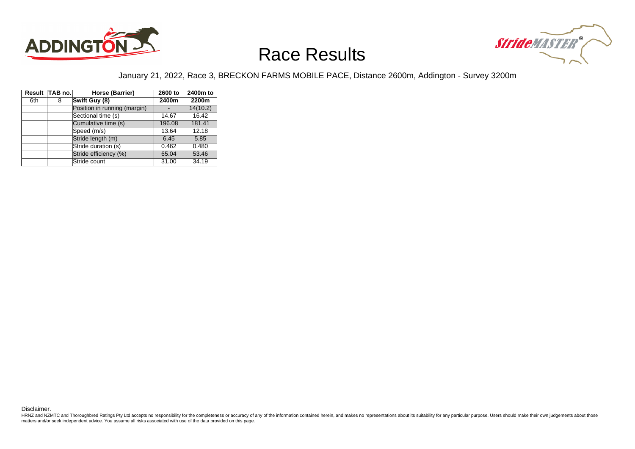



#### January 21, 2022, Race 3, BRECKON FARMS MOBILE PACE, Distance 2600m, Addington - Survey 3200m

|     | Result TAB no. | Horse (Barrier)              | 2600 to | 2400m to |
|-----|----------------|------------------------------|---------|----------|
| 6th | 8              | Swift Guy (8)                | 2400m   | 2200m    |
|     |                | Position in running (margin) |         | 14(10.2) |
|     |                | Sectional time (s)           | 14.67   | 16.42    |
|     |                | Cumulative time (s)          | 196.08  | 181.41   |
|     |                | Speed (m/s)                  | 13.64   | 12.18    |
|     |                | Stride length (m)            | 6.45    | 5.85     |
|     |                | Stride duration (s)          | 0.462   | 0.480    |
|     |                | Stride efficiency (%)        | 65.04   | 53.46    |
|     |                | Stride count                 | 31.00   | 34.19    |

Disclaimer.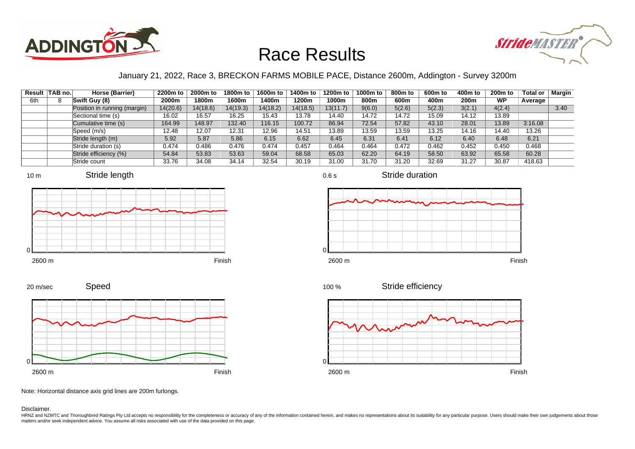



#### January 21, 2022, Race 3, BRECKON FARMS MOBILE PACE, Distance 2600m, Addington - Survey 3200m

| Result | $\vert$ TAB no. $\vert$ | Horse (Barrier)              | 2200m to | 2000m to | 1800m to | 1600m to | 1400m to | 1200m to | 1000m to | 800m to | 600m to | 400m to          | $200m$ to | <b>Total or</b> | Margin |
|--------|-------------------------|------------------------------|----------|----------|----------|----------|----------|----------|----------|---------|---------|------------------|-----------|-----------------|--------|
| 6th    |                         | Swift Guy (8)                | 2000m    | 1800m    | 1600m    | l 400m   | 1200m    | 1000m    | 800m     | 600m    | 400m    | 200 <sub>m</sub> | <b>WP</b> | Average         |        |
|        |                         | Position in running (margin) | 14(20.6) | 14(18.6) | 14(19.3) | 14(18.2) | 14(18.5) | 13(11.7) | 9(6.0)   | 5(2.6)  | 5(2.3)  | 3(2.1)           | 4(2.4)    |                 | 3.40   |
|        |                         | Sectional time (s)           | 16.02    | 16.57    | 16.25    | 15.43    | 13.78    | 14.40    | 14.72    | 14.72   | 15.09   | 14.12            | 13.89     |                 |        |
|        |                         | Cumulative time (s)          | 164.99   | 148.97   | 132.40   | 116.15   | 100.72   | 86.94    | 72.54    | 57.82   | 43.10   | 28.01            | 13.89     | 3:16.08         |        |
|        |                         | Speed (m/s)                  | 12.48    | 12.07    | 12.31    | 12.96    | 14.51    | 13.89    | 13.59    | 13.59   | 13.25   | 14.16            | 14.40     | 13.26           |        |
|        |                         | Stride length (m)            | 5.92     | 5.87     | 5.86     | 6.15     | 6.62     | 6.45     | 6.31     | 6.41    | 6.12    | 6.40             | 6.48      | 6.21            |        |
|        |                         | Stride duration (s)          | 0.474    | 0.486    | 0.476    | 0.474    | 0.457    | 0.464    | 0.464    | 0.472   | 0.462   | 0.452            | 0.450     | 0.468           |        |
|        |                         | Stride efficiency (%)        | 54.84    | 53.83    | 53.63    | 59.04    | 68.58    | 65.03    | 62.20    | 64.19   | 58.50   | 63.92            | 65.58     | 60.28           |        |
|        |                         | Stride count                 | 33.76    | 34.08    | 34.14    | 32.54    | 30.19    | 31.00    | 31.70    | 31.20   | 32.69   | 31.27            | 30.87     | 418.63          |        |







Stride duration



Speed







Note: Horizontal distance axis grid lines are 200m furlongs.

Disclaimer.

HRNZ and NZMTC and Thoroughbred Ratings Pty Ltd accepts no responsibility for the completeness or accuracy of any of the information contained herein, and makes no representations about its suitability for any particular p matters and/or seek independent advice. You assume all risks associated with use of the data provided on this page.

0.6 s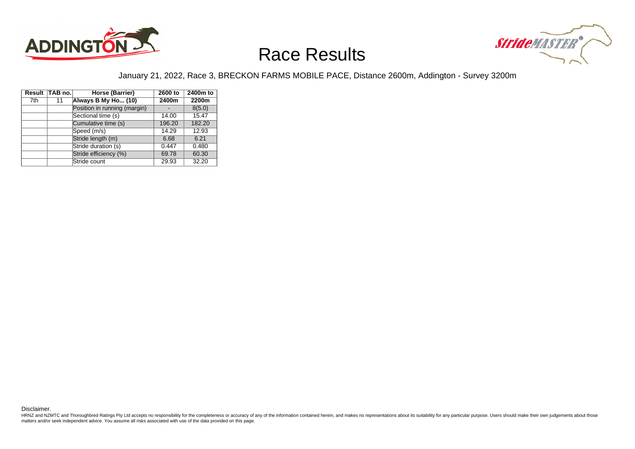



#### January 21, 2022, Race 3, BRECKON FARMS MOBILE PACE, Distance 2600m, Addington - Survey 3200m

|     | Result TAB no. | Horse (Barrier)              | 2600 to | 2400m to |
|-----|----------------|------------------------------|---------|----------|
| 7th | 11             | Always B My Ho (10)          | 2400m   | 2200m    |
|     |                | Position in running (margin) |         | 8(5.0)   |
|     |                | Sectional time (s)           | 14.00   | 15.47    |
|     |                | Cumulative time (s)          | 196.20  | 182.20   |
|     |                | Speed (m/s)                  | 14.29   | 12.93    |
|     |                | Stride length (m)            | 6.68    | 6.21     |
|     |                | Stride duration (s)          | 0.447   | 0.480    |
|     |                | Stride efficiency (%)        | 69.78   | 60.30    |
|     |                | Stride count                 | 29.93   | 32.20    |

Disclaimer.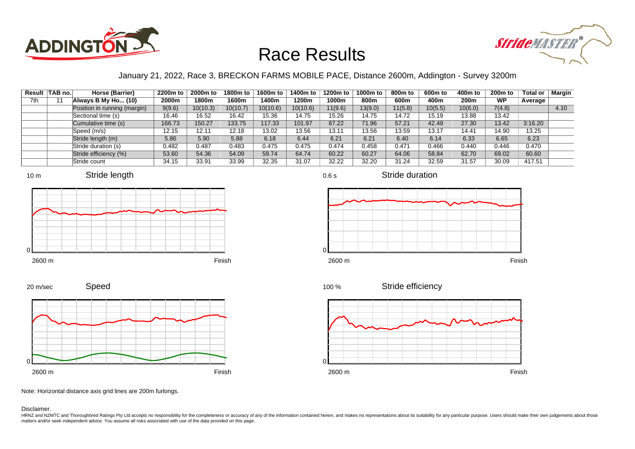



#### January 21, 2022, Race 3, BRECKON FARMS MOBILE PACE, Distance 2600m, Addington - Survey 3200m

0.6 s

|     | Result TAB no. | Horse (Barrier)              | 2200m to | 2000m to | 1800m to | 1600m to | 1400m to | 1200m to | 1000m to | 800m to | 600m to | 400m to          | $200m$ to | Total or | Margin |
|-----|----------------|------------------------------|----------|----------|----------|----------|----------|----------|----------|---------|---------|------------------|-----------|----------|--------|
| 7th |                | Always B My Ho (10)          | 2000m    | 1800m    | 1600m    | 1400m    | 1200m    | 1000m    | 800m     | 600m    | 400m    | 200 <sub>m</sub> | <b>WP</b> | Average  |        |
|     |                | Position in running (margin) | 9(9.6)   | 10(10.3) | 10(10.7) | 10(10.6) | 10(10.6) | 11(9.6)  | 13(9.0)  | 11(5.8) | 10(5.5) | 10(6.0)          | 7(4.8)    |          | 4.10   |
|     |                | Sectional time (s)           | 16.46    | 16.52    | 16.42    | 15.36    | 14.75    | 15.26    | 14.75    | 14.72   | 15.19   | 13.88            | 13.42     |          |        |
|     |                | Cumulative time (s)          | 166.73   | 150.27   | 133.75   | 117.33   | 101.97   | 87.22    | 71.96    | 57.21   | 42.49   | 27.30            | 13.42     | 3:16.20  |        |
|     |                | Speed (m/s)                  | 12.15    | 12.11    | 12.18    | 13.02    | 13.56    | 13.11    | 13.56    | 13.59   | 13.17   | 14.41            | 14.90     | 13.25    |        |
|     |                | Stride length (m)            | 5.86     | 5.90     | 5.88     | 6.18     | 6.44     | 6.21     | 6.21     | 6.40    | 6.14    | 6.33             | 6.65      | 6.23     |        |
|     |                | Stride duration (s)          | 0.482    | 0.487    | 0.483    | 0.475    | 0.475    | 0.474    | 0.458    | 0.471   | 0.466   | 0.440            | 0.446     | 0.470    |        |
|     |                | Stride efficiency (%)        | 53.60    | 54.36    | 54.09    | 59.74    | 64.74    | 60.22    | 60.27    | 64.06   | 58.84   | 62.70            | 69.02     | 60.60    |        |
|     |                | Stride count                 | 34.15    | 33.91    | 33.99    | 32.35    | 31.07    | 32.22    | 32.20    | 31.24   | 32.59   | 31.57            | 30.09     | 417.51   |        |







Stride duration



Speed



Stride efficiency 100 %



Note: Horizontal distance axis grid lines are 200m furlongs.

#### Disclaimer.

20 m/sec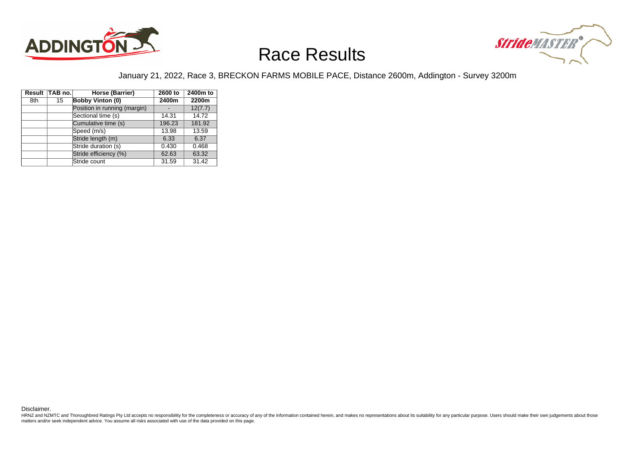



#### January 21, 2022, Race 3, BRECKON FARMS MOBILE PACE, Distance 2600m, Addington - Survey 3200m

|     | Result TAB no. | Horse (Barrier)              | 2600 to | 2400m to |
|-----|----------------|------------------------------|---------|----------|
| 8th | 15             | <b>Bobby Vinton (0)</b>      | 2400m   | 2200m    |
|     |                | Position in running (margin) |         | 12(7.7)  |
|     |                | Sectional time (s)           | 14.31   | 14.72    |
|     |                | Cumulative time (s)          | 196.23  | 181.92   |
|     |                | Speed (m/s)                  | 13.98   | 13.59    |
|     |                | Stride length (m)            | 6.33    | 6.37     |
|     |                | Stride duration (s)          | 0.430   | 0.468    |
|     |                | Stride efficiency (%)        | 62.63   | 63.32    |
|     |                | Stride count                 | 31.59   | 31.42    |

Disclaimer.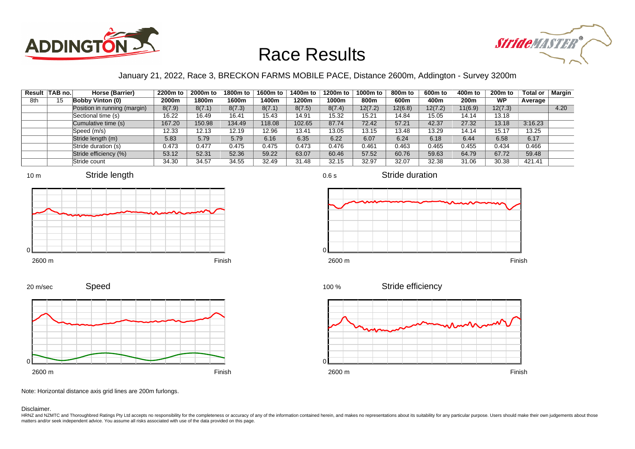



#### January 21, 2022, Race 3, BRECKON FARMS MOBILE PACE, Distance 2600m, Addington - Survey 3200m

| Result | $\vert$ TAB no. $\vert$ | Horse (Barrier)              | 2200m to | 2000m to | 1800m to | 1600m to | 1400m to | 1200m to | 1000m to | 800m to | 600m to | 400m to          | $200m$ to | <b>Total or</b> | Margin |
|--------|-------------------------|------------------------------|----------|----------|----------|----------|----------|----------|----------|---------|---------|------------------|-----------|-----------------|--------|
| 8th    | 15                      | <b>Bobby Vinton (0)</b>      | 2000m    | 1800m    | 1600m    | l 400m   | 1200m    | 1000m    | 800m     | 600m    | 400m    | 200 <sub>m</sub> | <b>WP</b> | Average         |        |
|        |                         | Position in running (margin) | 8(7.9)   | 8(7.1)   | 8(7.3)   | 8(7.1)   | 8(7.5)   | 8(7.4)   | 12(7.2)  | 12(6.8) | 12(7.2) | 11(6.9)          | 12(7.3)   |                 | 4.20   |
|        |                         | Sectional time (s)           | 16.22    | 16.49    | 16.41    | 15.43    | 14.91    | 15.32    | 15.21    | 14.84   | 15.05   | 14.14            | 13.18     |                 |        |
|        |                         | Cumulative time (s)          | 167.20   | 150.98   | 134.49   | 118.08   | 102.65   | 87.74    | 72.42    | 57.21   | 42.37   | 27.32            | 13.18     | 3:16.23         |        |
|        |                         | Speed (m/s)                  | 12.33    | 12.13    | 12.19    | 12.96    | 13.41    | 13.05    | 13.15    | 13.48   | 13.29   | 14.14            | 15.17     | 13.25           |        |
|        |                         | Stride length (m)            | 5.83     | 5.79     | 5.79     | 6.16     | 6.35     | 6.22     | 6.07     | 6.24    | 6.18    | 6.44             | 6.58      | 6.17            |        |
|        |                         | Stride duration (s)          | 0.473    | 0.477    | 0.475    | 0.475    | 0.473    | 0.476    | 0.461    | 0.463   | 0.465   | 0.455            | 0.434     | 0.466           |        |
|        |                         | Stride efficiency (%)        | 53.12    | 52.31    | 52.36    | 59.22    | 63.07    | 60.46    | 57.52    | 60.76   | 59.63   | 64.79            | 67.72     | 59.48           |        |
|        |                         | Stride count                 | 34.30    | 34.57    | 34.55    | 32.49    | 31.48    | 32.15    | 32.97    | 32.07   | 32.38   | 31.06            | 30.38     | 421.41          |        |













Stride efficiency 100 %



Note: Horizontal distance axis grid lines are 200m furlongs.

Disclaimer.

0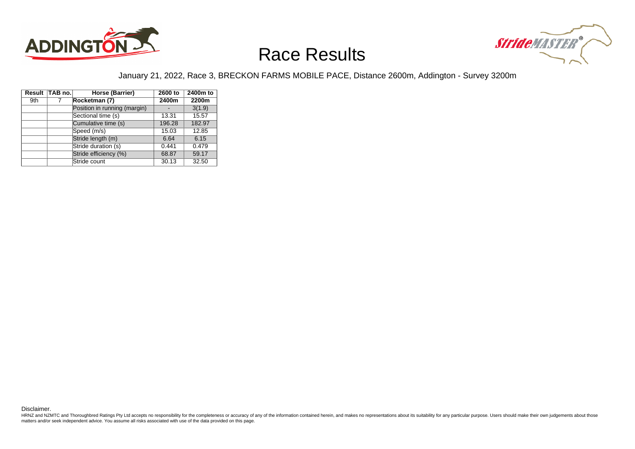



#### January 21, 2022, Race 3, BRECKON FARMS MOBILE PACE, Distance 2600m, Addington - Survey 3200m

|     | Result TAB no. | Horse (Barrier)              | 2600 to | 2400m to |
|-----|----------------|------------------------------|---------|----------|
| 9th | 7              | Rocketman (7)                | 2400m   | 2200m    |
|     |                | Position in running (margin) |         | 3(1.9)   |
|     |                | Sectional time (s)           | 13.31   | 15.57    |
|     |                | Cumulative time (s)          | 196.28  | 182.97   |
|     |                | Speed (m/s)                  | 15.03   | 12.85    |
|     |                | Stride length (m)            | 6.64    | 6.15     |
|     |                | Stride duration (s)          | 0.441   | 0.479    |
|     |                | Stride efficiency (%)        | 68.87   | 59.17    |
|     |                | Stride count                 | 30.13   | 32.50    |

Disclaimer.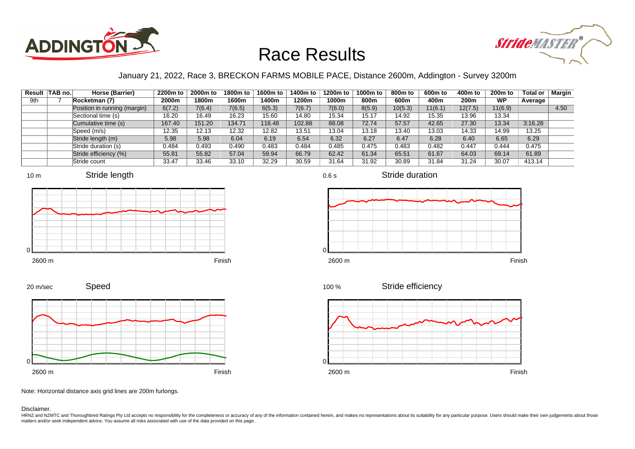



#### January 21, 2022, Race 3, BRECKON FARMS MOBILE PACE, Distance 2600m, Addington - Survey 3200m

0.6 s

|     | Result TAB no. | Horse (Barrier)              | 2200m to | 2000m to | 1800m to | 1600m to | 1400m to | 1200m to | 1000m to | 800m to | 600m to | 400m to | 200 <sub>m</sub> to | Total or | Margin |
|-----|----------------|------------------------------|----------|----------|----------|----------|----------|----------|----------|---------|---------|---------|---------------------|----------|--------|
| 9th |                | Rocketman (7)                | 2000m    | 1800m    | 1600m    | 400m     | 1200m    | 1000m    | 800m     | 600m    | 400m    | 200m    | <b>WP</b>           | Average  |        |
|     |                | Position in running (margin) | 6(7.2)   | 7(6.4)   | 7(6.5)   | 6(5.3)   | 7(6.7)   | 7(6.0)   | 8(5.9)   | 10(5.3) | 11(6.1) | 12(7.5) | 11(6.9)             |          | 4.50   |
|     |                | Sectional time (s)           | 16.20    | 16.49    | 16.23    | 15.60    | 14.80    | 15.34    | 15.17    | 14.92   | 15.35   | 13.96   | 13.34               |          |        |
|     |                | Cumulative time (s)          | 167.40   | 151.20   | 134.71   | 118.48   | 102.88   | 88.08    | 72.74    | 57.57   | 42.65   | 27.30   | 13.34               | 3:16.28  |        |
|     |                | Speed (m/s)                  | 12.35    | 12.13    | 12.32    | 12.82    | 13.51    | 13.04    | 13.18    | 13.40   | 13.03   | 14.33   | 14.99               | 13.25    |        |
|     |                | Stride length (m)            | 5.98     | 5.98     | 6.04     | 6.19     | 6.54     | 6.32     | 6.27     | 6.47    | 6.28    | 6.40    | 6.65                | 6.29     |        |
|     |                | Stride duration (s)          | 0.484    | 0.493    | 0.490    | 0.483    | 0.484    | 0.485    | 0.475    | 0.483   | 0.482   | 0.447   | 0.444               | 0.475    |        |
|     |                | Stride efficiency (%)        | 55.81    | 55.82    | 57.04    | 59.94    | 66.79    | 62.42    | 61.34    | 65.51   | 61.67   | 64.03   | 69.14               | 61.89    |        |
|     |                | Stride count                 | 33.47    | 33.46    | 33.10    | 32.29    | 30.59    | 31.64    | 31.92    | 30.89   | 31.84   | 31.24   | 30.07               | 413.14   |        |









2600 m Finish









Note: Horizontal distance axis grid lines are 200m furlongs.

Disclaimer.

HRNZ and NZMTC and Thoroughbred Ratings Pty Ltd accepts no responsibility for the completeness or accuracy of any of the information contained herein, and makes no representations about its suitability for any particular p matters and/or seek independent advice. You assume all risks associated with use of the data provided on this page.

Stride duration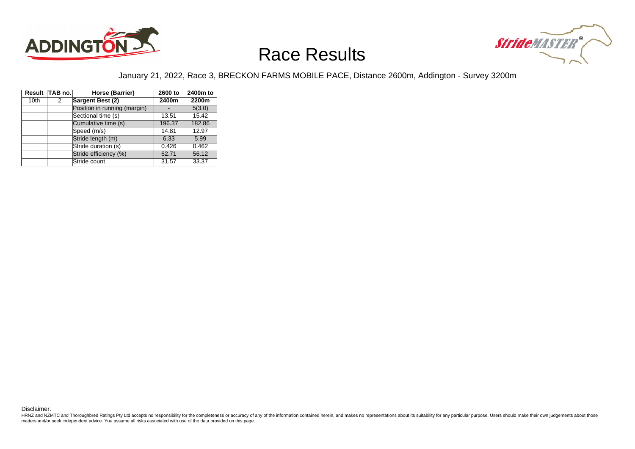



#### January 21, 2022, Race 3, BRECKON FARMS MOBILE PACE, Distance 2600m, Addington - Survey 3200m

|                  | Result TAB no. | Horse (Barrier)              | 2600 to | 2400m to |
|------------------|----------------|------------------------------|---------|----------|
| 10 <sub>th</sub> | 2              | Sargent Best (2)             | 2400m   | 2200m    |
|                  |                | Position in running (margin) |         | 5(3.0)   |
|                  |                | Sectional time (s)           | 13.51   | 15.42    |
|                  |                | Cumulative time (s)          | 196.37  | 182.86   |
|                  |                | Speed (m/s)                  | 14.81   | 12.97    |
|                  |                | Stride length (m)            | 6.33    | 5.99     |
|                  |                | Stride duration (s)          | 0.426   | 0.462    |
|                  |                | Stride efficiency (%)        | 62.71   | 56.12    |
|                  |                | Stride count                 | 31.57   | 33.37    |

Disclaimer.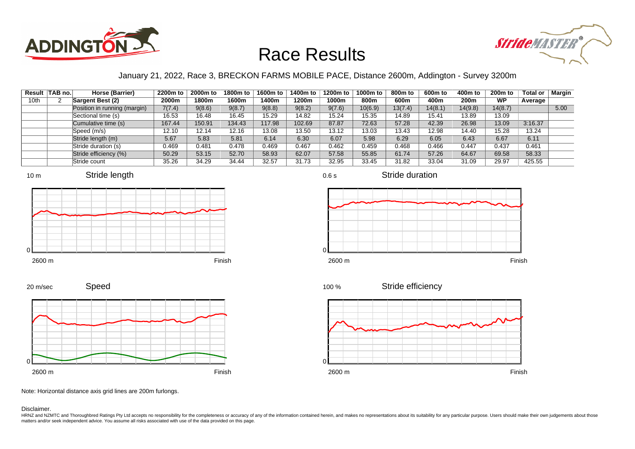



#### January 21, 2022, Race 3, BRECKON FARMS MOBILE PACE, Distance 2600m, Addington - Survey 3200m

0.6 s

|      | Result TAB no. | Horse (Barrier)              | 2200m to | 2000m to | 1800m to | 1600m to | 1400m to | 1200m to | 1000m to | 800m to | 600m to | 400m to          | $200m$ to | Total or | Margin |
|------|----------------|------------------------------|----------|----------|----------|----------|----------|----------|----------|---------|---------|------------------|-----------|----------|--------|
| 10th |                | Sargent Best (2)             | 2000m    | 1800m    | 1600m    | 1400m    | 1200m    | 1000m    | 800m     | 600m    | 400m    | 200 <sub>m</sub> | <b>WP</b> | Average  |        |
|      |                | Position in running (margin) | 7(7.4)   | 9(8.6)   | 9(8.7)   | 9(8.8)   | 9(8.2)   | 9(7.6)   | 10(6.9)  | 13(7.4) | 14(8.1) | 14(9.8)          | 14(8.7)   |          | 5.00   |
|      |                | Sectional time (s)           | 16.53    | 16.48    | 16.45    | 15.29    | 14.82    | 15.24    | 15.35    | 14.89   | 15.41   | 13.89            | 13.09     |          |        |
|      |                | Cumulative time (s)          | 167.44   | 150.91   | 134.43   | 117.98   | 102.69   | 87.87    | 72.63    | 57.28   | 42.39   | 26.98            | 13.09     | 3:16.37  |        |
|      |                | Speed (m/s)                  | 12.10    | 12.14    | 12.16    | 13.08    | 13.50    | 13.12    | 13.03    | 13.43   | 12.98   | 14.40            | 15.28     | 13.24    |        |
|      |                | Stride length (m)            | 5.67     | 5.83     | 5.81     | 6.14     | 6.30     | 6.07     | 5.98     | 6.29    | 6.05    | 6.43             | 6.67      | 6.11     |        |
|      |                | Stride duration (s)          | 0.469    | 0.481    | 0.478    | 0.469    | 0.467    | 0.462    | 0.459    | 0.468   | 0.466   | 0.447            | 0.437     | 0.461    |        |
|      |                | Stride efficiency (%)        | 50.29    | 53.15    | 52.70    | 58.93    | 62.07    | 57.58    | 55.85    | 61.74   | 57.26   | 64.67            | 69.58     | 58.33    |        |
|      |                | Stride count                 | 35.26    | 34.29    | 34.44    | 32.57    | 31.73    | 32.95    | 33.45    | 31.82   | 33.04   | 31.09            | 29.97     | 425.55   |        |







Stride duration



Stride efficiency 100 %



Speed 20 m/sec



Note: Horizontal distance axis grid lines are 200m furlongs.

Disclaimer.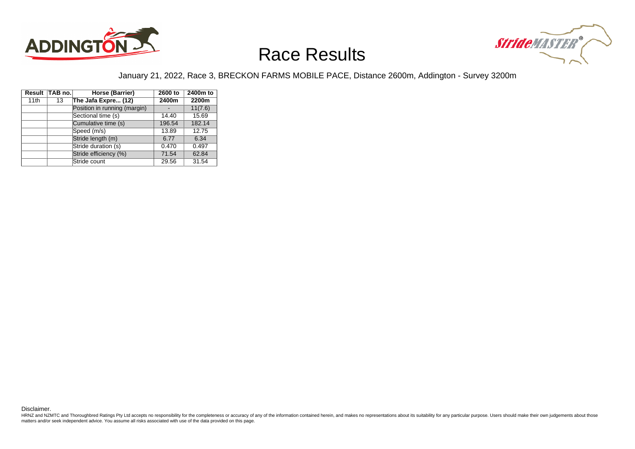



#### January 21, 2022, Race 3, BRECKON FARMS MOBILE PACE, Distance 2600m, Addington - Survey 3200m

|      | Result TAB no. | Horse (Barrier)              | 2600 to | 2400m to |
|------|----------------|------------------------------|---------|----------|
| 11th | 13             | The Jafa Expre (12)          | 2400m   | 2200m    |
|      |                | Position in running (margin) |         | 11(7.6)  |
|      |                | Sectional time (s)           | 14.40   | 15.69    |
|      |                | Cumulative time (s)          | 196.54  | 182.14   |
|      |                | Speed (m/s)                  | 13.89   | 12.75    |
|      |                | Stride length (m)            | 6.77    | 6.34     |
|      |                | Stride duration (s)          | 0.470   | 0.497    |
|      |                | Stride efficiency (%)        | 71.54   | 62.84    |
|      |                | Stride count                 | 29.56   | 31.54    |

Disclaimer.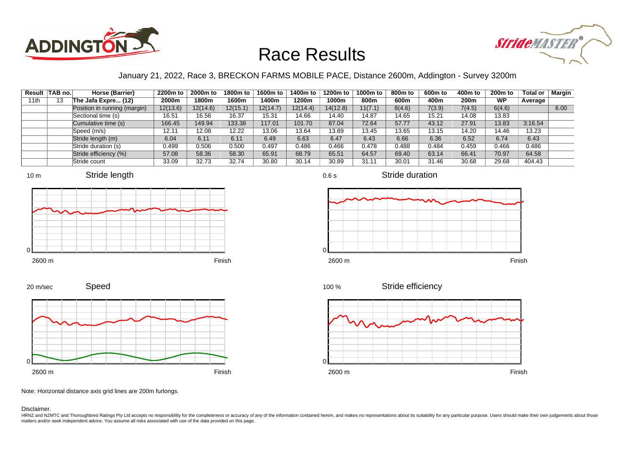



#### January 21, 2022, Race 3, BRECKON FARMS MOBILE PACE, Distance 2600m, Addington - Survey 3200m

|      | Result TAB no. | Horse (Barrier)              | 2200m to | 2000m to | 1800m to | 1600m to | 1400m to | 1200m to | 1000m to | 800m to | 600m to | 400m to          | $200m$ to | Total or | Margin |
|------|----------------|------------------------------|----------|----------|----------|----------|----------|----------|----------|---------|---------|------------------|-----------|----------|--------|
| 11th | 13             | The Jafa Expre (12)          | 2000m    | 1800m    | 1600m    | 1400m    | 1200m    | 1000m    | 800m     | 600m    | 400m    | 200 <sub>m</sub> | <b>WP</b> | Average  |        |
|      |                | Position in running (margin) | 12(13.6) | 12(14.6) | 12(15.1) | 12(14.7) | 12(14.4) | 14(12.8) | 11(7.1)  | 8(4.6)  | 7(3.9)  | 7(4.5)           | 6(4.6)    |          | 6.00   |
|      |                | Sectional time (s)           | 16.51    | 16.56    | 16.37    | 15.31    | 14.66    | 14.40    | 14.87    | 14.65   | 15.21   | 14.08            | 13.83     |          |        |
|      |                | Cumulative time (s)          | 166.45   | 149.94   | 133.38   | 117.01   | 101.70   | 87.04    | 72.64    | 57.77   | 43.12   | 27.91            | 13.83     | 3:16.54  |        |
|      |                | Speed (m/s)                  | 12.11    | 12.08    | 12.22    | 13.06    | 13.64    | 13.89    | 13.45    | 13.65   | 13.15   | 14.20            | 14.46     | 13.23    |        |
|      |                | Stride length (m)            | 6.04     | 6.11     | 6.11     | 6.49     | 6.63     | 6.47     | 6.43     | 6.66    | 6.36    | 6.52             | 6.74      | 6.43     |        |
|      |                | Stride duration (s)          | 0.499    | 0.506    | 0.500    | 0.497    | 0.486    | 0.466    | 0.478    | 0.488   | 0.484   | 0.459            | 0.466     | 0.486    |        |
|      |                | Stride efficiency (%)        | 57.08    | 58.36    | 58.30    | 65.91    | 68.79    | 65.51    | 64.57    | 69.40   | 63.14   | 66.41            | 70.97     | 64.58    |        |
|      |                | Stride count                 | 33.09    | 32.73    | 32.74    | 30.80    | 30.14    | 30.89    | 31.11    | 30.01   | 31.46   | 30.68            | 29.68     | 404.43   |        |















Note: Horizontal distance axis grid lines are 200m furlongs.

Disclaimer.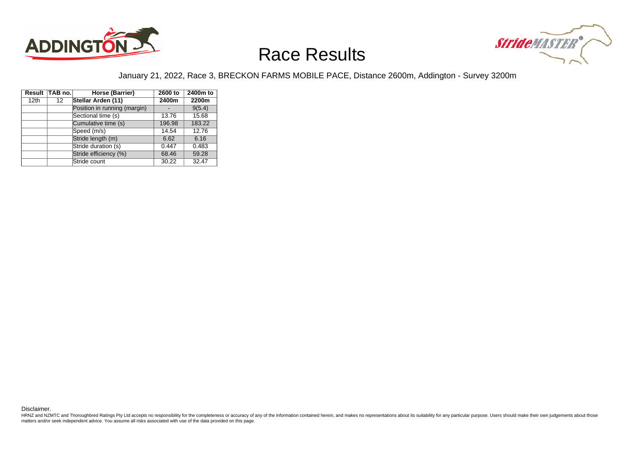



#### January 21, 2022, Race 3, BRECKON FARMS MOBILE PACE, Distance 2600m, Addington - Survey 3200m

| Result           | $\vert$ TAB no. $\vert$ | Horse (Barrier)              | 2600 to | 2400m to |
|------------------|-------------------------|------------------------------|---------|----------|
| 12 <sub>th</sub> | 12                      | Stellar Arden (11)           | 2400m   | 2200m    |
|                  |                         | Position in running (margin) |         | 9(5.4)   |
|                  |                         | Sectional time (s)           | 13.76   | 15.68    |
|                  |                         | Cumulative time (s)          | 196.98  | 183.22   |
|                  |                         | Speed (m/s)                  | 14.54   | 12.76    |
|                  |                         | Stride length (m)            | 6.62    | 6.16     |
|                  |                         | Stride duration (s)          | 0.447   | 0.483    |
|                  |                         | Stride efficiency (%)        | 68.46   | 59.28    |
|                  |                         | Stride count                 | 30.22   | 32.47    |

Disclaimer.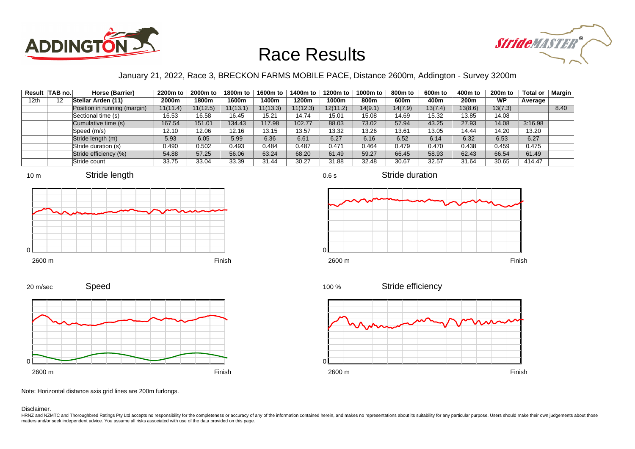



#### January 21, 2022, Race 3, BRECKON FARMS MOBILE PACE, Distance 2600m, Addington - Survey 3200m

| Result | $\vert$ TAB no. $\vert$ | Horse (Barrier)              | 2200m to | 2000m to | 1800m to | 1600m to | 1400m to | 1200m to | 1000m to | 800m to | 600m to | 400m to          | $200m$ to | <b>Total or</b> | Margin |
|--------|-------------------------|------------------------------|----------|----------|----------|----------|----------|----------|----------|---------|---------|------------------|-----------|-----------------|--------|
| 12th   | 12                      | Stellar Arden (11)           | 2000m    | 1800m    | 1600m    | l 400m   | 1200m    | 1000m    | 800m     | 600m    | 400m    | 200 <sub>m</sub> | <b>WP</b> | Average         |        |
|        |                         | Position in running (margin) | 11(11.4) | 11(12.5) | 11(13.1) | 11(13.3) | 11(12.3) | 12(11.2) | 14(9.1)  | 14(7.9) | 13(7.4) | 13(8.6)          | 13(7.3)   |                 | 8.40   |
|        |                         | Sectional time (s)           | 16.53    | 16.58    | 16.45    | 15.21    | 14.74    | 15.01    | 15.08    | 14.69   | 15.32   | 13.85            | 14.08     |                 |        |
|        |                         | Cumulative time (s)          | 167.54   | 151.01   | 134.43   | 117.98   | 102.77   | 88.03    | 73.02    | 57.94   | 43.25   | 27.93            | 14.08     | 3:16.98         |        |
|        |                         | Speed (m/s)                  | 12.10    | 12.06    | 12.16    | 13.15    | 13.57    | 13.32    | 13.26    | 13.61   | 13.05   | 14.44            | 14.20     | 13.20           |        |
|        |                         | Stride length (m)            | 5.93     | 6.05     | 5.99     | 6.36     | 6.61     | 6.27     | 6.16     | 6.52    | 6.14    | 6.32             | 6.53      | 6.27            |        |
|        |                         | Stride duration (s)          | 0.490    | 0.502    | 0.493    | 0.484    | 0.487    | 0.471    | 0.464    | 0.479   | 0.470   | 0.438            | 0.459     | 0.475           |        |
|        |                         | Stride efficiency (%)        | 54.88    | 57.25    | 56.06    | 63.24    | 68.20    | 61.49    | 59.27    | 66.45   | 58.93   | 62.43            | 66.54     | 61.49           |        |
|        |                         | Stride count                 | 33.75    | 33.04    | 33.39    | 31.44    | 30.27    | 31.88    | 32.48    | 30.67   | 32.57   | 31.64            | 30.65     | 414.47          |        |







Stride duration









Note: Horizontal distance axis grid lines are 200m furlongs.

Disclaimer.

HRNZ and NZMTC and Thoroughbred Ratings Pty Ltd accepts no responsibility for the completeness or accuracy of any of the information contained herein, and makes no representations about its suitability for any particular p matters and/or seek independent advice. You assume all risks associated with use of the data provided on this page.

0.6 s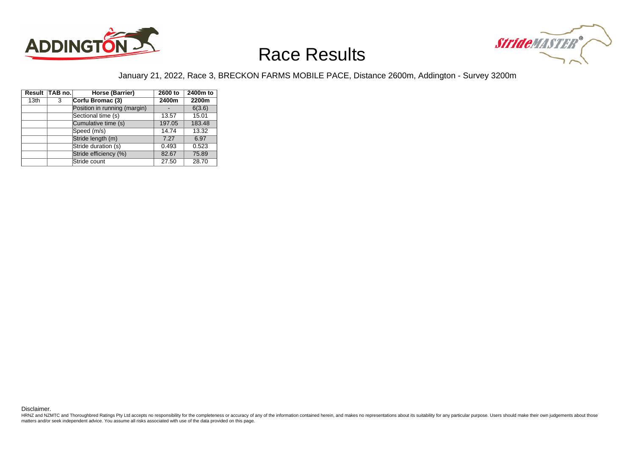



#### January 21, 2022, Race 3, BRECKON FARMS MOBILE PACE, Distance 2600m, Addington - Survey 3200m

|                  | Result TAB no. | Horse (Barrier)              | 2600 to | 2400m to |
|------------------|----------------|------------------------------|---------|----------|
| 13 <sub>th</sub> | 3              | Corfu Bromac (3)             | 2400m   | 2200m    |
|                  |                | Position in running (margin) |         | 6(3.6)   |
|                  |                | Sectional time (s)           | 13.57   | 15.01    |
|                  |                | Cumulative time (s)          | 197.05  | 183.48   |
|                  |                | Speed (m/s)                  | 14.74   | 13.32    |
|                  |                | Stride length (m)            | 7.27    | 6.97     |
|                  |                | Stride duration (s)          | 0.493   | 0.523    |
|                  |                | Stride efficiency (%)        | 82.67   | 75.89    |
|                  |                | Stride count                 | 27.50   | 28.70    |

Disclaimer.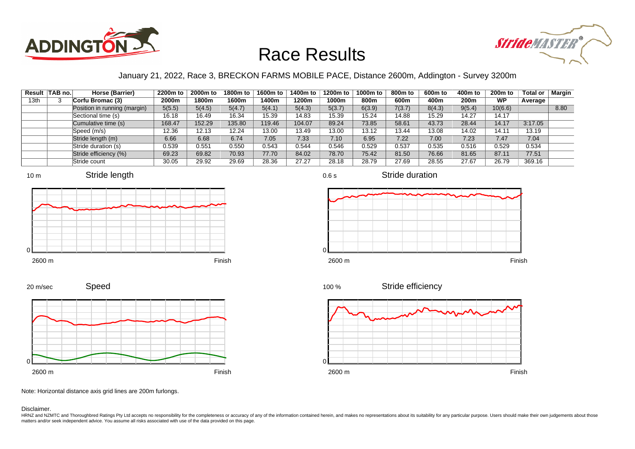



#### January 21, 2022, Race 3, BRECKON FARMS MOBILE PACE, Distance 2600m, Addington - Survey 3200m

| Result           | $ TAB$ no. $ $ | Horse (Barrier)              | 2200m to | 2000m to | 1800m to | 1600m to | 1400m to | 1200m to | 1000m to | 800m to | 600m to | 400m to          | <b>200m to</b> | <b>Total or</b> | Margin |
|------------------|----------------|------------------------------|----------|----------|----------|----------|----------|----------|----------|---------|---------|------------------|----------------|-----------------|--------|
| 13 <sub>th</sub> |                | Corfu Bromac (3)             | 2000m    | 1800m    | 1600m    | l 400m   | 1200m    | 1000m    | 800m     | 600m    | 400m    | 200 <sub>m</sub> | <b>WP</b>      | Average         |        |
|                  |                | Position in running (margin) | 5(5.5)   | 5(4.5)   | 5(4.7)   | 5(4.1)   | 5(4.3)   | 5(3.7)   | 6(3.9)   | 7(3.7)  | 8(4.3)  | 9(5.4)           | 10(6.6)        |                 | 8.80   |
|                  |                | Sectional time (s)           | 16.18    | 16.49    | 16.34    | 15.39    | 14.83    | 15.39    | 15.24    | 14.88   | 15.29   | 14.27            | 14.17          |                 |        |
|                  |                | Cumulative time (s)          | 168.47   | 152.29   | 135.80   | 119.46   | 104.07   | 89.24    | 73.85    | 58.61   | 43.73   | 28.44            | 14.17          | 3:17.05         |        |
|                  |                | Speed (m/s)                  | 12.36    | 12.13    | 12.24    | 13.00    | 13.49    | 13.00    | 13.12    | 13.44   | 13.08   | 14.02            | 14.11          | 13.19           |        |
|                  |                | Stride length (m)            | 6.66     | 6.68     | 6.74     | 7.05     | 7.33     | 7.10     | 6.95     | 7.22    | 7.00    | 7.23             | 7.47           | 7.04            |        |
|                  |                | Stride duration (s)          | 0.539    | 0.551    | 0.550    | 0.543    | 0.544    | 0.546    | 0.529    | 0.537   | 0.535   | 0.516            | 0.529          | 0.534           |        |
|                  |                | Stride efficiency (%)        | 69.23    | 69.82    | 70.93    | 77.70    | 84.02    | 78.70    | 75.42    | 81.50   | 76.66   | 81.65            | 87.11          | 77.51           |        |
|                  |                | Stride count                 | 30.05    | 29.92    | 29.69    | 28.36    | 27.27    | 28.18    | 28.79    | 27.69   | 28.55   | 27.67            | 26.79          | 369.16          |        |











0.6 s

Stride duration



Stride efficiency 100 %



Note: Horizontal distance axis grid lines are 200m furlongs.

Disclaimer.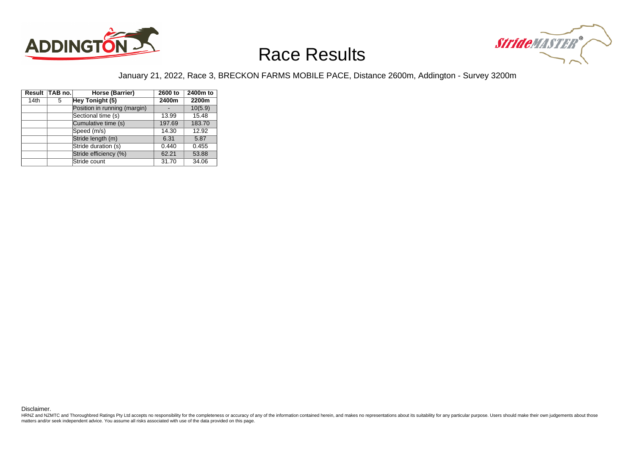



#### January 21, 2022, Race 3, BRECKON FARMS MOBILE PACE, Distance 2600m, Addington - Survey 3200m

|      | Result TAB no. | Horse (Barrier)              | 2600 to | 2400m to |
|------|----------------|------------------------------|---------|----------|
| 14th | 5              | Hey Tonight (5)              | 2400m   | 2200m    |
|      |                | Position in running (margin) |         | 10(5.9)  |
|      |                | Sectional time (s)           | 13.99   | 15.48    |
|      |                | Cumulative time (s)          | 197.69  | 183.70   |
|      |                | Speed (m/s)                  | 14.30   | 12.92    |
|      |                | Stride length (m)            | 6.31    | 5.87     |
|      |                | Stride duration (s)          | 0.440   | 0.455    |
|      |                | Stride efficiency (%)        | 62.21   | 53.88    |
|      |                | Stride count                 | 31.70   | 34.06    |

Disclaimer.